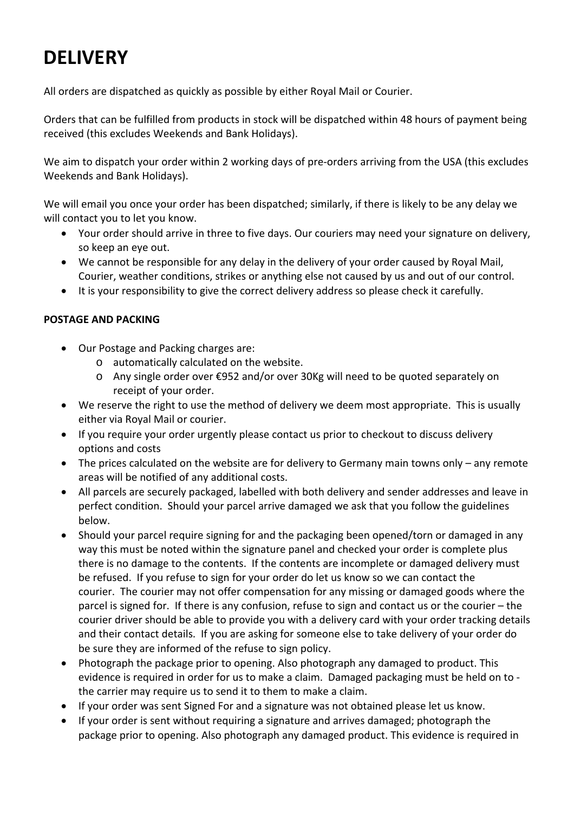# **DELIVERY**

All orders are dispatched as quickly as possible by either Royal Mail or Courier.

Orders that can be fulfilled from products in stock will be dispatched within 48 hours of payment being received (this excludes Weekends and Bank Holidays).

We aim to dispatch your order within 2 working days of pre-orders arriving from the USA (this excludes Weekends and Bank Holidays).

We will email you once your order has been dispatched; similarly, if there is likely to be any delay we will contact you to let you know.

- Your order should arrive in three to five days. Our couriers may need your signature on delivery, so keep an eye out.
- We cannot be responsible for any delay in the delivery of your order caused by Royal Mail, Courier, weather conditions, strikes or anything else not caused by us and out of our control.
- It is your responsibility to give the correct delivery address so please check it carefully.

## **POSTAGE AND PACKING**

- Our Postage and Packing charges are:
	- o automatically calculated on the website.
	- o Any single order over €952 and/or over 30Kg will need to be quoted separately on receipt of your order.
- We reserve the right to use the method of delivery we deem most appropriate. This is usually either via Royal Mail or courier.
- If you require your order urgently please contact us prior to checkout to discuss delivery options and costs
- The prices calculated on the website are for delivery to Germany main towns only any remote areas will be notified of any additional costs.
- All parcels are securely packaged, labelled with both delivery and sender addresses and leave in perfect condition. Should your parcel arrive damaged we ask that you follow the guidelines below.
- Should your parcel require signing for and the packaging been opened/torn or damaged in any way this must be noted within the signature panel and checked your order is complete plus there is no damage to the contents. If the contents are incomplete or damaged delivery must be refused. If you refuse to sign for your order do let us know so we can contact the courier. The courier may not offer compensation for any missing or damaged goods where the parcel is signed for. If there is any confusion, refuse to sign and contact us or the courier – the courier driver should be able to provide you with a delivery card with your order tracking details and their contact details. If you are asking for someone else to take delivery of your order do be sure they are informed of the refuse to sign policy.
- Photograph the package prior to opening. Also photograph any damaged to product. This evidence is required in order for us to make a claim. Damaged packaging must be held on to ‐ the carrier may require us to send it to them to make a claim.
- If your order was sent Signed For and a signature was not obtained please let us know.
- If your order is sent without requiring a signature and arrives damaged; photograph the package prior to opening. Also photograph any damaged product. This evidence is required in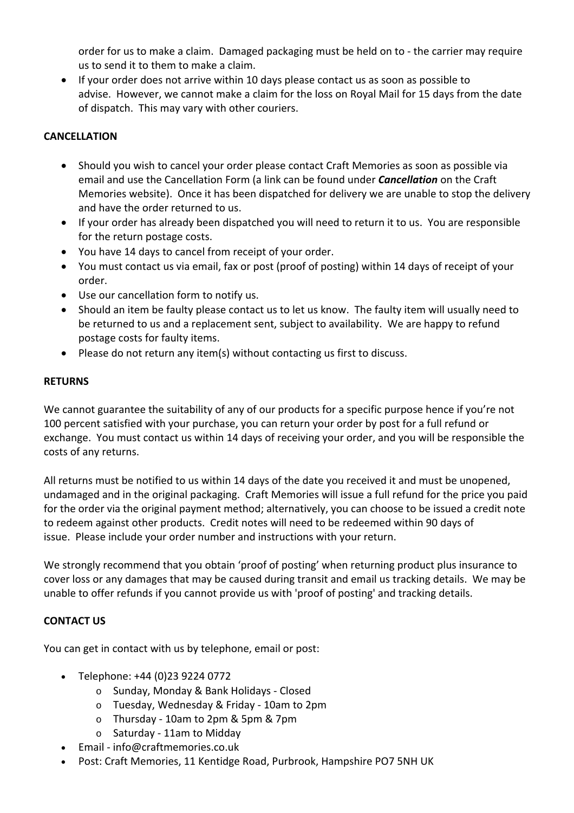order for us to make a claim. Damaged packaging must be held on to ‐ the carrier may require us to send it to them to make a claim.

 If your order does not arrive within 10 days please contact us as soon as possible to advise. However, we cannot make a claim for the loss on Royal Mail for 15 days from the date of dispatch. This may vary with other couriers.

### **CANCELLATION**

- Should you wish to cancel your order please contact Craft Memories as soon as possible via email and use the Cancellation Form (a link can be found under *Cancellation* on the Craft Memories website). Once it has been dispatched for delivery we are unable to stop the delivery and have the order returned to us.
- If your order has already been dispatched you will need to return it to us. You are responsible for the return postage costs.
- You have 14 days to cancel from receipt of your order.
- You must contact us via email, fax or post (proof of posting) within 14 days of receipt of your order.
- Use our cancellation form to notify us.
- Should an item be faulty please contact us to let us know. The faulty item will usually need to be returned to us and a replacement sent, subject to availability. We are happy to refund postage costs for faulty items.
- Please do not return any item(s) without contacting us first to discuss.

#### **RETURNS**

We cannot guarantee the suitability of any of our products for a specific purpose hence if you're not 100 percent satisfied with your purchase, you can return your order by post for a full refund or exchange. You must contact us within 14 days of receiving your order, and you will be responsible the costs of any returns.

All returns must be notified to us within 14 days of the date you received it and must be unopened, undamaged and in the original packaging. Craft Memories will issue a full refund for the price you paid for the order via the original payment method; alternatively, you can choose to be issued a credit note to redeem against other products. Credit notes will need to be redeemed within 90 days of issue. Please include your order number and instructions with your return.

We strongly recommend that you obtain 'proof of posting' when returning product plus insurance to cover loss or any damages that may be caused during transit and email us tracking details. We may be unable to offer refunds if you cannot provide us with 'proof of posting' and tracking details.

#### **CONTACT US**

You can get in contact with us by telephone, email or post:

- Telephone: +44 (0)23 9224 0772
	- o Sunday, Monday & Bank Holidays ‐ Closed
	- o Tuesday, Wednesday & Friday ‐ 10am to 2pm
	- o Thursday ‐ 10am to 2pm & 5pm & 7pm
	- o Saturday ‐ 11am to Midday
- Email ‐ info@craftmemories.co.uk
- Post: Craft Memories, 11 Kentidge Road, Purbrook, Hampshire PO7 5NH UK